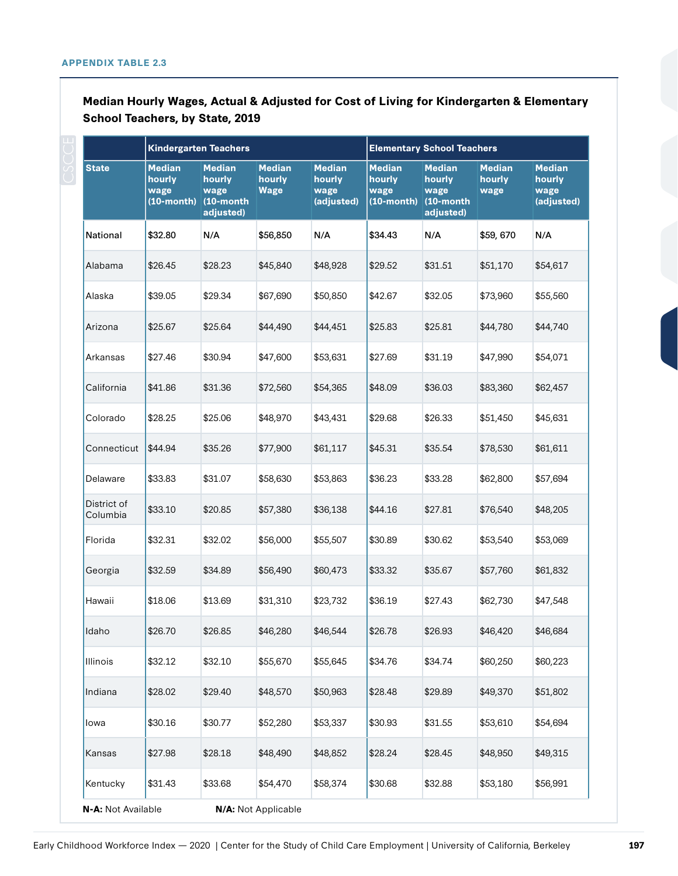|                         | <b>Kindergarten Teachers</b>                        |                                                              |                                 |                                               | <b>Elementary School Teachers</b>                |                                                              |                                 |                                               |
|-------------------------|-----------------------------------------------------|--------------------------------------------------------------|---------------------------------|-----------------------------------------------|--------------------------------------------------|--------------------------------------------------------------|---------------------------------|-----------------------------------------------|
| <b>State</b>            | <b>Median</b><br>hourly<br>wage<br>$(10$ -month $)$ | <b>Median</b><br>hourly<br>wage<br>$(10$ -month<br>adjusted) | <b>Median</b><br>hourly<br>Wage | <b>Median</b><br>hourly<br>wage<br>(adjusted) | <b>Median</b><br>hourly<br>wage<br>$(10$ -month) | <b>Median</b><br>hourly<br>wage<br>$(10$ -month<br>adjusted) | <b>Median</b><br>hourly<br>wage | <b>Median</b><br>hourly<br>wage<br>(adjusted) |
| National                | \$32.80                                             | N/A                                                          | \$56,850                        | N/A                                           | \$34.43                                          | N/A                                                          | \$59,670                        | N/A                                           |
| Alabama                 | \$26.45                                             | \$28.23                                                      | \$45,840                        | \$48,928                                      | \$29.52                                          | \$31.51                                                      | \$51,170                        | \$54,617                                      |
| Alaska                  | \$39.05                                             | \$29.34                                                      | \$67,690                        | \$50,850                                      | \$42.67                                          | \$32.05                                                      | \$73,960                        | \$55,560                                      |
| Arizona                 | \$25.67                                             | \$25.64                                                      | \$44,490                        | \$44,451                                      | \$25.83                                          | \$25.81                                                      | \$44,780                        | \$44,740                                      |
| Arkansas                | \$27.46                                             | \$30.94                                                      | \$47,600                        | \$53,631                                      | \$27.69                                          | \$31.19                                                      | \$47,990                        | \$54,071                                      |
| California              | \$41.86                                             | \$31.36                                                      | \$72,560                        | \$54,365                                      | \$48.09                                          | \$36.03                                                      | \$83,360                        | \$62,457                                      |
| Colorado                | \$28.25                                             | \$25.06                                                      | \$48,970                        | \$43,431                                      | \$29.68                                          | \$26.33                                                      | \$51,450                        | \$45,631                                      |
| Connecticut             | \$44.94                                             | \$35.26                                                      | \$77,900                        | \$61,117                                      | \$45.31                                          | \$35.54                                                      | \$78,530                        | \$61,611                                      |
| Delaware                | \$33.83                                             | \$31.07                                                      | \$58,630                        | \$53,863                                      | \$36.23                                          | \$33.28                                                      | \$62,800                        | \$57,694                                      |
| District of<br>Columbia | \$33.10                                             | \$20.85                                                      | \$57,380                        | \$36,138                                      | \$44.16                                          | \$27.81                                                      | \$76,540                        | \$48,205                                      |
| Florida                 | \$32.31                                             | \$32.02                                                      | \$56,000                        | \$55,507                                      | \$30.89                                          | \$30.62                                                      | \$53,540                        | \$53,069                                      |
| Georgia                 | \$32.59                                             | \$34.89                                                      | \$56,490                        | \$60,473                                      | \$33.32                                          | \$35.67                                                      | \$57,760                        | \$61,832                                      |
| Hawaii                  | \$18.06                                             | \$13.69                                                      | \$31,310                        | \$23,732                                      | \$36.19                                          | \$27.43                                                      | \$62,730                        | \$47,548                                      |
| Idaho                   | \$26.70                                             | \$26.85                                                      | \$46,280                        | \$46,544                                      | \$26.78                                          | \$26.93                                                      | \$46,420                        | \$46,684                                      |
| Illinois                | \$32.12                                             | \$32.10                                                      | \$55,670                        | \$55,645                                      | \$34.76                                          | \$34.74                                                      | \$60,250                        | \$60,223                                      |
| Indiana                 | \$28.02                                             | \$29.40                                                      | \$48,570                        | \$50,963                                      | \$28.48                                          | \$29.89                                                      | \$49,370                        | \$51,802                                      |
| lowa                    | \$30.16                                             | \$30.77                                                      | \$52,280                        | \$53,337                                      | \$30.93                                          | \$31.55                                                      | \$53,610                        | \$54,694                                      |
| Kansas                  | \$27.98                                             | \$28.18                                                      | \$48,490                        | \$48,852                                      | \$28.24                                          | \$28.45                                                      | \$48,950                        | \$49,315                                      |
| Kentucky                | \$31.43                                             | \$33.68                                                      | \$54,470                        | \$58,374                                      | \$30.68                                          | \$32.88                                                      | \$53,180                        | \$56,991                                      |
| N-A: Not Available      |                                                     |                                                              | N/A: Not Applicable             |                                               |                                                  |                                                              |                                 |                                               |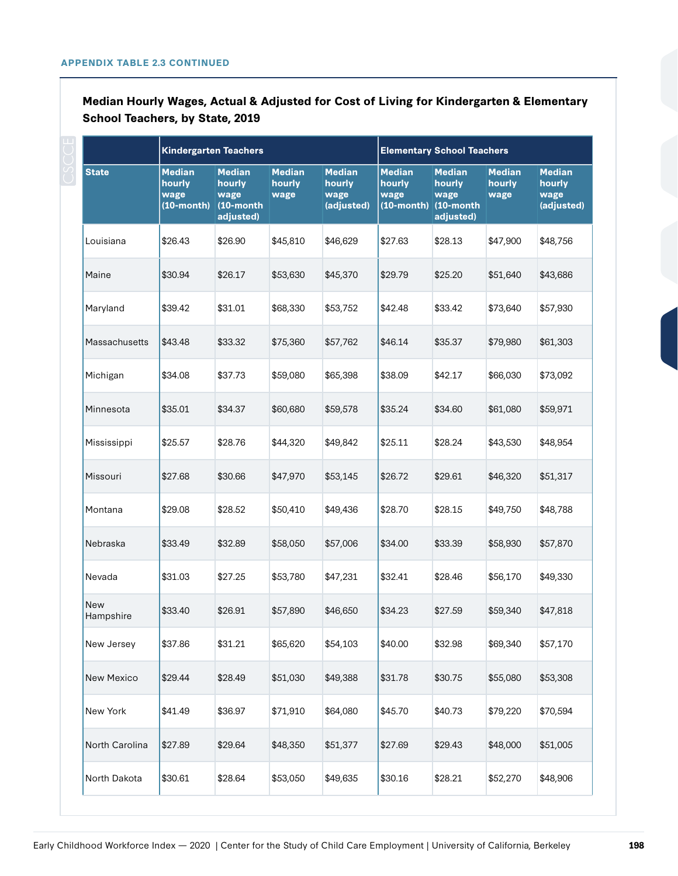|                  | <b>Kindergarten Teachers</b>                        |                                                              |                                 |                                               | <b>Elementary School Teachers</b>                |                                                           |                                 |                                               |
|------------------|-----------------------------------------------------|--------------------------------------------------------------|---------------------------------|-----------------------------------------------|--------------------------------------------------|-----------------------------------------------------------|---------------------------------|-----------------------------------------------|
| <b>State</b>     | <b>Median</b><br>hourly<br>wage<br>$(10$ -month $)$ | <b>Median</b><br>hourly<br>wage<br>$(10$ -month<br>adjusted) | <b>Median</b><br>hourly<br>wage | <b>Median</b><br>hourly<br>wage<br>(adjusted) | <b>Median</b><br>hourly<br>wage<br>$(10$ -month) | <b>Median</b><br>hourly<br>wage<br>(10-month<br>adjusted) | <b>Median</b><br>hourly<br>wage | <b>Median</b><br>hourly<br>wage<br>(adjusted) |
| Louisiana        | \$26.43                                             | \$26.90                                                      | \$45,810                        | \$46,629                                      | \$27.63                                          | \$28.13                                                   | \$47,900                        | \$48,756                                      |
| Maine            | \$30.94                                             | \$26.17                                                      | \$53,630                        | \$45,370                                      | \$29.79                                          | \$25.20                                                   | \$51,640                        | \$43,686                                      |
| Maryland         | \$39.42                                             | \$31.01                                                      | \$68,330                        | \$53,752                                      | \$42.48                                          | \$33.42                                                   | \$73,640                        | \$57,930                                      |
| Massachusetts    | \$43.48                                             | \$33.32                                                      | \$75,360                        | \$57,762                                      | \$46.14                                          | \$35.37                                                   | \$79,980                        | \$61,303                                      |
| Michigan         | \$34.08                                             | \$37.73                                                      | \$59,080                        | \$65,398                                      | \$38.09                                          | \$42.17                                                   | \$66,030                        | \$73,092                                      |
| Minnesota        | \$35.01                                             | \$34.37                                                      | \$60,680                        | \$59,578                                      | \$35.24                                          | \$34.60                                                   | \$61,080                        | \$59,971                                      |
| Mississippi      | \$25.57                                             | \$28.76                                                      | \$44,320                        | \$49,842                                      | \$25.11                                          | \$28.24                                                   | \$43,530                        | \$48,954                                      |
| Missouri         | \$27.68                                             | \$30.66                                                      | \$47,970                        | \$53,145                                      | \$26.72                                          | \$29.61                                                   | \$46,320                        | \$51,317                                      |
| Montana          | \$29.08                                             | \$28.52                                                      | \$50,410                        | \$49,436                                      | \$28.70                                          | \$28.15                                                   | \$49,750                        | \$48,788                                      |
| Nebraska         | \$33.49                                             | \$32.89                                                      | \$58,050                        | \$57,006                                      | \$34.00                                          | \$33.39                                                   | \$58,930                        | \$57,870                                      |
| Nevada           | \$31.03                                             | \$27.25                                                      | \$53,780                        | \$47,231                                      | \$32.41                                          | \$28.46                                                   | \$56,170                        | \$49,330                                      |
| New<br>Hampshire | \$33.40                                             | \$26.91                                                      | \$57,890                        | \$46,650                                      | \$34.23                                          | \$27.59                                                   | \$59,340                        | \$47,818                                      |
| New Jersey       | \$37.86                                             | \$31.21                                                      | \$65,620                        | \$54,103                                      | \$40.00                                          | \$32.98                                                   | \$69,340                        | \$57,170                                      |
| New Mexico       | \$29.44                                             | \$28.49                                                      | \$51,030                        | \$49,388                                      | \$31.78                                          | \$30.75                                                   | \$55,080                        | \$53,308                                      |
| New York         | \$41.49                                             | \$36.97                                                      | \$71,910                        | \$64,080                                      | \$45.70                                          | \$40.73                                                   | \$79,220                        | \$70,594                                      |
| North Carolina   | \$27.89                                             | \$29.64                                                      | \$48,350                        | \$51,377                                      | \$27.69                                          | \$29.43                                                   | \$48,000                        | \$51,005                                      |
| North Dakota     | \$30.61                                             | \$28.64                                                      | \$53,050                        | \$49,635                                      | \$30.16                                          | \$28.21                                                   | \$52,270                        | \$48,906                                      |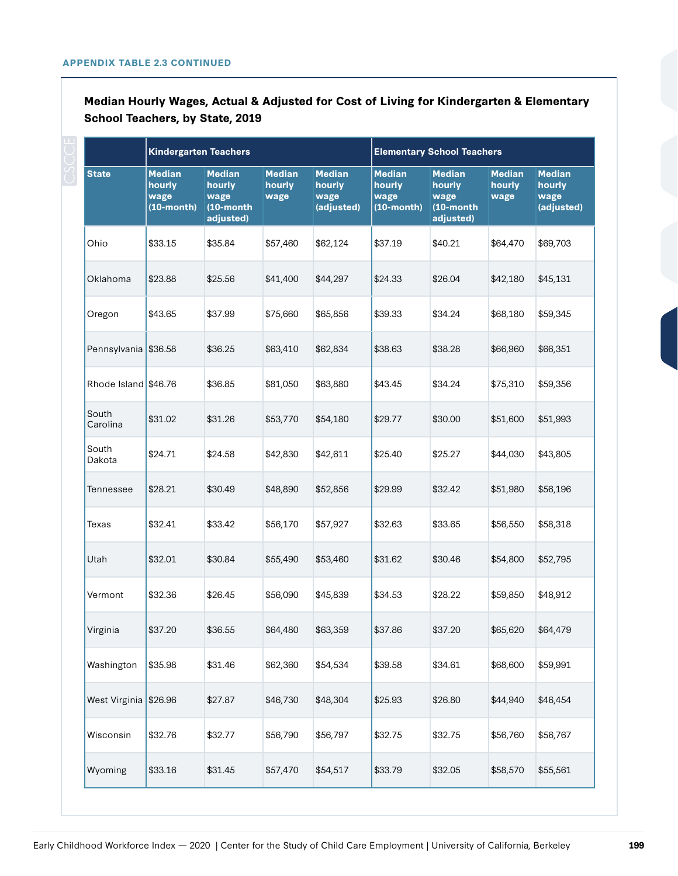|                      | <b>Kindergarten Teachers</b>                     |                                                              |                                 |                                               | <b>Elementary School Teachers</b>                |                                                              |                                 |                                               |  |
|----------------------|--------------------------------------------------|--------------------------------------------------------------|---------------------------------|-----------------------------------------------|--------------------------------------------------|--------------------------------------------------------------|---------------------------------|-----------------------------------------------|--|
| <b>State</b>         | <b>Median</b><br>hourly<br>wage<br>$(10$ -month) | <b>Median</b><br>hourly<br>wage<br>$(10$ -month<br>adjusted) | <b>Median</b><br>hourly<br>wage | <b>Median</b><br>hourly<br>wage<br>(adjusted) | <b>Median</b><br>hourly<br>wage<br>$(10$ -month) | <b>Median</b><br>hourly<br>wage<br>$(10$ -month<br>adjusted) | <b>Median</b><br>hourly<br>wage | <b>Median</b><br>hourly<br>wage<br>(adjusted) |  |
| Ohio                 | \$33.15                                          | \$35.84                                                      | \$57,460                        | \$62,124                                      | \$37.19                                          | \$40.21                                                      | \$64,470                        | \$69,703                                      |  |
| Oklahoma             | \$23.88                                          | \$25.56                                                      | \$41,400                        | \$44,297                                      | \$24.33                                          | \$26.04                                                      | \$42,180                        | \$45,131                                      |  |
| Oregon               | \$43.65                                          | \$37.99                                                      | \$75,660                        | \$65,856                                      | \$39.33                                          | \$34.24                                                      | \$68,180                        | \$59,345                                      |  |
| Pennsylvania         | \$36.58                                          | \$36.25                                                      | \$63,410                        | \$62,834                                      | \$38.63                                          | \$38.28                                                      | \$66,960                        | \$66,351                                      |  |
| Rhode Island \$46.76 |                                                  | \$36.85                                                      | \$81,050                        | \$63,880                                      | \$43.45                                          | \$34.24                                                      | \$75,310                        | \$59,356                                      |  |
| South<br>Carolina    | \$31.02                                          | \$31.26                                                      | \$53,770                        | \$54,180                                      | \$29.77                                          | \$30.00                                                      | \$51,600                        | \$51,993                                      |  |
| South<br>Dakota      | \$24.71                                          | \$24.58                                                      | \$42,830                        | \$42,611                                      | \$25.40                                          | \$25.27                                                      | \$44,030                        | \$43,805                                      |  |
| Tennessee            | \$28.21                                          | \$30.49                                                      | \$48,890                        | \$52,856                                      | \$29.99                                          | \$32.42                                                      | \$51,980                        | \$56,196                                      |  |
| Texas                | \$32.41                                          | \$33.42                                                      | \$56,170                        | \$57,927                                      | \$32.63                                          | \$33.65                                                      | \$56,550                        | \$58,318                                      |  |
| Utah                 | \$32.01                                          | \$30.84                                                      | \$55,490                        | \$53,460                                      | \$31.62                                          | \$30.46                                                      | \$54,800                        | \$52,795                                      |  |
| Vermont              | \$32.36                                          | \$26.45                                                      | \$56,090                        | \$45,839                                      | \$34.53                                          | \$28.22                                                      | \$59,850                        | \$48,912                                      |  |
| Virginia             | \$37.20                                          | \$36.55                                                      | \$64,480                        | \$63,359                                      | \$37.86                                          | \$37.20                                                      | \$65,620                        | \$64,479                                      |  |
| Washington           | \$35.98                                          | \$31.46                                                      | \$62,360                        | \$54,534                                      | \$39.58                                          | \$34.61                                                      | \$68,600                        | \$59,991                                      |  |
| West Virginia        | \$26.96                                          | \$27.87                                                      | \$46,730                        | \$48,304                                      | \$25.93                                          | \$26.80                                                      | \$44,940                        | \$46,454                                      |  |
| Wisconsin            | \$32.76                                          | \$32.77                                                      | \$56,790                        | \$56,797                                      | \$32.75                                          | \$32.75                                                      | \$56,760                        | \$56,767                                      |  |
| Wyoming              | \$33.16                                          | \$31.45                                                      | \$57,470                        | \$54,517                                      | \$33.79                                          | \$32.05                                                      | \$58,570                        | \$55,561                                      |  |